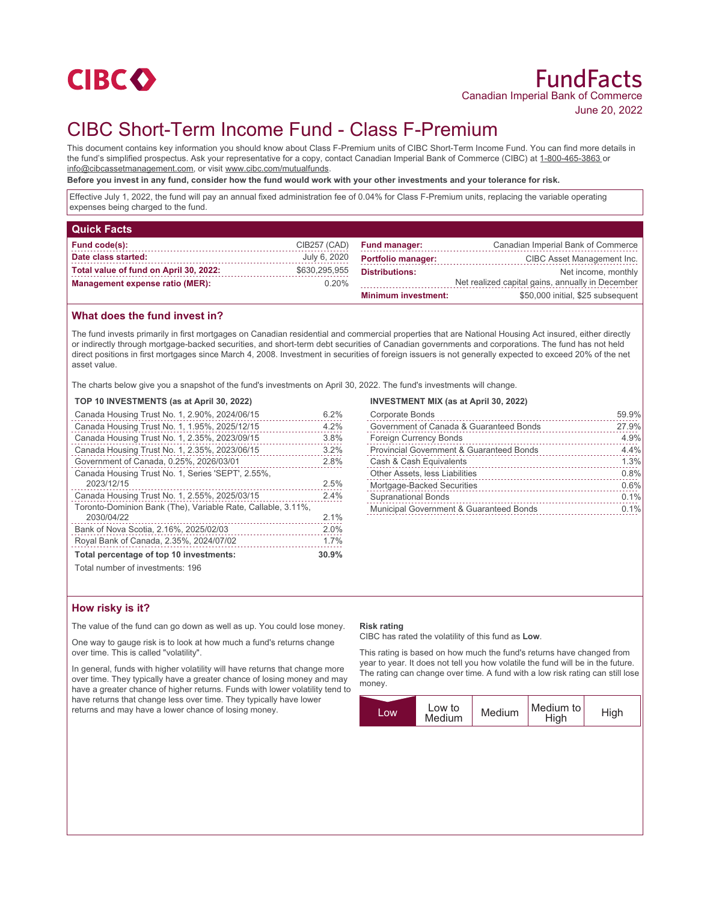

## June 20, 2022

# CIBC Short-Term Income Fund - Class F-Premium

This document contains key information you should know about Class F-Premium units of CIBC Short-Term Income Fund. You can find more details in the fund's simplified prospectus. Ask your representative for a copy, contact Canadian Imperial Bank of Commerce (CIBC) at 1-800-465-3863 or info@cibcassetmanagement.com, or visit www.cibc.com/mutualfunds.

**Before you invest in any fund, consider how the fund would work with your other investments and your tolerance for risk.**

Effective July 1, 2022, the fund will pay an annual fixed administration fee of 0.04% for Class F-Premium units, replacing the variable operating expenses being charged to the fund.

| <b>Quick Facts</b>                     |               |                            |                                                  |
|----------------------------------------|---------------|----------------------------|--------------------------------------------------|
| Fund code(s):                          | CIB257 (CAD)  | <b>Fund manager:</b>       | Canadian Imperial Bank of Commerce               |
| Date class started:                    | July 6, 2020  | <b>Portfolio manager:</b>  | CIBC Asset Management Inc.                       |
| Total value of fund on April 30, 2022: | \$630,295,955 | <b>Distributions:</b>      | Net income, monthly                              |
| <b>Management expense ratio (MER):</b> | $0.20\%$      |                            | Net realized capital gains, annually in December |
|                                        |               | <b>Minimum investment:</b> | \$50,000 initial, \$25 subsequent                |

## **What does the fund invest in?**

The fund invests primarily in first mortgages on Canadian residential and commercial properties that are National Housing Act insured, either directly or indirectly through mortgage-backed securities, and short-term debt securities of Canadian governments and corporations. The fund has not held direct positions in first mortgages since March 4, 2008. Investment in securities of foreign issuers is not generally expected to exceed 20% of the net asset value.

The charts below give you a snapshot of the fund's investments on April 30, 2022. The fund's investments will change.

#### **TOP 10 INVESTMENTS (as at April 30, 2022)**

| Canada Housing Trust No. 1, 2.90%, 2024/06/15                | 6.2%  |
|--------------------------------------------------------------|-------|
| Canada Housing Trust No. 1, 1.95%, 2025/12/15                | 4.2%  |
| Canada Housing Trust No. 1, 2.35%, 2023/09/15                | 3.8%  |
| Canada Housing Trust No. 1, 2.35%, 2023/06/15                | 3.2%  |
| Government of Canada, 0.25%, 2026/03/01                      | 2.8%  |
| Canada Housing Trust No. 1, Series 'SEPT', 2.55%,            |       |
| 2023/12/15                                                   | 2.5%  |
| Canada Housing Trust No. 1, 2.55%, 2025/03/15                | 2.4%  |
| Toronto-Dominion Bank (The), Variable Rate, Callable, 3.11%, |       |
| 2030/04/22                                                   | 2.1%  |
| Bank of Nova Scotia, 2.16%, 2025/02/03                       | 2.0%  |
| Royal Bank of Canada, 2.35%, 2024/07/02                      | 1.7%  |
| Total percentage of top 10 investments:                      | 30.9% |
| Total number of investments: 196                             |       |

#### **INVESTMENT MIX (as at April 30, 2022)**

| Corporate Bonds                          | 59.9% |
|------------------------------------------|-------|
| Government of Canada & Guaranteed Bonds  | 27.9% |
| <b>Foreign Currency Bonds</b>            | 4.9%  |
| Provincial Government & Guaranteed Bonds | 4.4%  |
| Cash & Cash Equivalents                  | 1.3%  |
| Other Assets, less Liabilities           | 0.8%  |
| Mortgage-Backed Securities               | 0.6%  |
| <b>Supranational Bonds</b>               | 0.1%  |
| Municipal Government & Guaranteed Bonds  | 0.1%  |
|                                          |       |

## **How risky is it?**

The value of the fund can go down as well as up. You could lose money.

One way to gauge risk is to look at how much a fund's returns change over time. This is called "volatility".

In general, funds with higher volatility will have returns that change more over time. They typically have a greater chance of losing money and may have a greater chance of higher returns. Funds with lower volatility tend to have returns that change less over time. They typically have lower returns and may have a lower chance of losing money.

#### **Risk rating**

CIBC has rated the volatility of this fund as **Low**.

This rating is based on how much the fund's returns have changed from year to year. It does not tell you how volatile the fund will be in the future. The rating can change over time. A fund with a low risk rating can still lose money.

| LOW | Low to<br>Medium | Medium | Medium to<br>High | <b>High</b> |
|-----|------------------|--------|-------------------|-------------|
|     |                  |        |                   |             |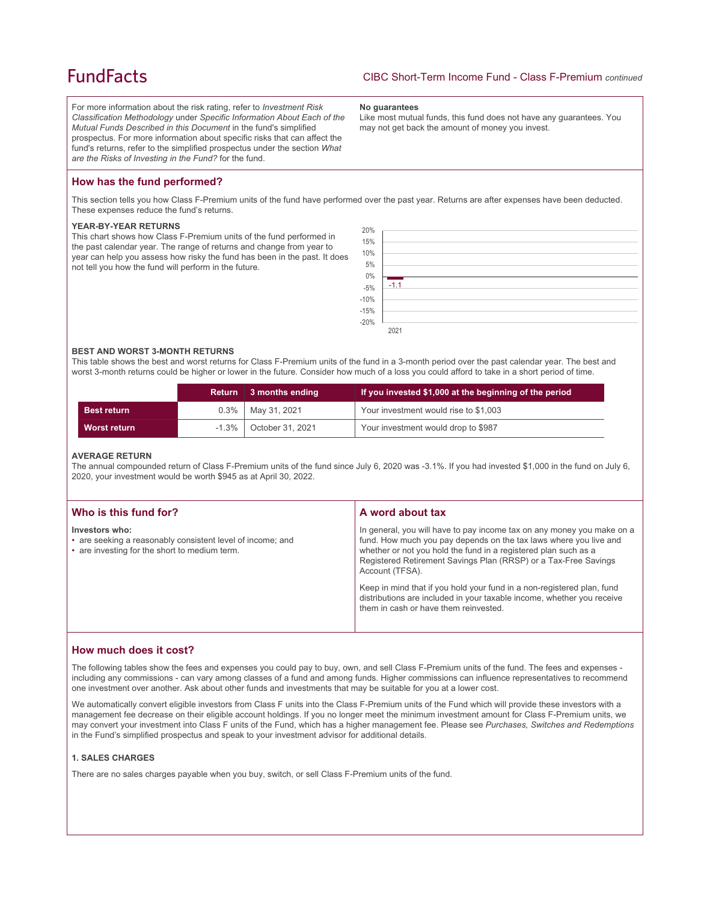## **FundFacts**

For more information about the risk rating, refer to *Investment Risk Classification Methodology* under *Specific Information About Each of the Mutual Funds Described in this Document* in the fund's simplified prospectus. For more information about specific risks that can affect the fund's returns, refer to the simplified prospectus under the section *What are the Risks of Investing in the Fund?* for the fund.

#### **No guarantees**

Like most mutual funds, this fund does not have any guarantees. You may not get back the amount of money you invest.

## **How has the fund performed?**

This section tells you how Class F-Premium units of the fund have performed over the past year. Returns are after expenses have been deducted. These expenses reduce the fund's returns.

#### **YEAR-BY-YEAR RETURNS**

This chart shows how Class F-Premium units of the fund performed in the past calendar year. The range of returns and change from year to year can help you assess how risky the fund has been in the past. It does not tell you how the fund will perform in the future.



#### **BEST AND WORST 3-MONTH RETURNS**

This table shows the best and worst returns for Class F-Premium units of the fund in a 3-month period over the past calendar year. The best and worst 3-month returns could be higher or lower in the future. Consider how much of a loss you could afford to take in a short period of time.

|                    |          | Return 3 months ending | If you invested \$1,000 at the beginning of the period |
|--------------------|----------|------------------------|--------------------------------------------------------|
| <b>Best return</b> |          | $0.3\%$   May 31, 2021 | Your investment would rise to \$1,003                  |
| Worst return       | $-1.3\%$ | October 31, 2021       | Your investment would drop to \$987                    |

#### **AVERAGE RETURN**

The annual compounded return of Class F-Premium units of the fund since July 6, 2020 was -3.1%. If you had invested \$1,000 in the fund on July 6, 2020, your investment would be worth \$945 as at April 30, 2022.

| Who is this fund for?                                                                                                         | A word about tax                                                                                                                                                                                                                                                                                     |
|-------------------------------------------------------------------------------------------------------------------------------|------------------------------------------------------------------------------------------------------------------------------------------------------------------------------------------------------------------------------------------------------------------------------------------------------|
| Investors who:<br>• are seeking a reasonably consistent level of income; and<br>• are investing for the short to medium term. | In general, you will have to pay income tax on any money you make on a<br>fund. How much you pay depends on the tax laws where you live and<br>whether or not you hold the fund in a registered plan such as a<br>Registered Retirement Savings Plan (RRSP) or a Tax-Free Savings<br>Account (TFSA). |
|                                                                                                                               | Keep in mind that if you hold your fund in a non-registered plan, fund<br>distributions are included in your taxable income, whether you receive<br>them in cash or have them reinvested.                                                                                                            |

## **How much does it cost?**

The following tables show the fees and expenses you could pay to buy, own, and sell Class F-Premium units of the fund. The fees and expenses including any commissions - can vary among classes of a fund and among funds. Higher commissions can influence representatives to recommend one investment over another. Ask about other funds and investments that may be suitable for you at a lower cost.

We automatically convert eligible investors from Class F units into the Class F-Premium units of the Fund which will provide these investors with a management fee decrease on their eligible account holdings. If you no longer meet the minimum investment amount for Class F-Premium units, we may convert your investment into Class F units of the Fund, which has a higher management fee. Please see *Purchases, Switches and Redemptions* in the Fund's simplified prospectus and speak to your investment advisor for additional details.

## **1. SALES CHARGES**

There are no sales charges payable when you buy, switch, or sell Class F-Premium units of the fund.